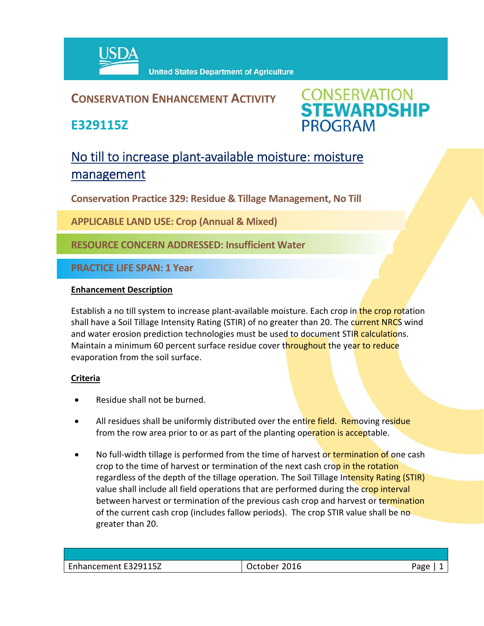

## **CONSERVATION ENHANCEMENT ACTIVITY**

**E329115Z**



# No till to increase plant-available moisture: moisture management

**Conservation Practice 329: Residue & Tillage Management, No Till**

**APPLICABLE LAND USE: Crop (Annual & Mixed)** 

**RESOURCE CONCERN ADDRESSED: Insufficient Water**

**PRACTICE LIFE SPAN: 1 Year**

### **Enhancement Description**

Establish a no till system to increase plant-available moisture. Each crop in the crop rotation shall have a Soil Tillage Intensity Rating (STIR) of no greater than 20. The current NRCS wind and water erosion prediction technologies must be used to document STIR calculations. Maintain a minimum 60 percent surface residue cover throughout the year to reduce evaporation from the soil surface.

### **Criteria**

- Residue shall not be burned.
- All residues shall be uniformly distributed over the entire field. Removing residue from the row area prior to or as part of the planting operation is acceptable.
- No full-width tillage is performed from the time of harvest or termination of one cash crop to the time of harvest or termination of the next cash crop in the rotation regardless of the depth of the tillage operation. The Soil Tillage Intensity Rating (STIR) value shall include all field operations that are performed during the crop interval between harvest or termination of the previous cash crop and harvest or termination of the current cash crop (includes fallow periods). The crop STIR value shall be no greater than 20.

| nancement E329115Z<br>$\sim$<br>- - - - - - - - - - - - -<br>CHI " | 2016<br>$-$<br>ш<br>ノししいしし | ם סבי<br>- כז |
|--------------------------------------------------------------------|----------------------------|---------------|
|                                                                    |                            |               |